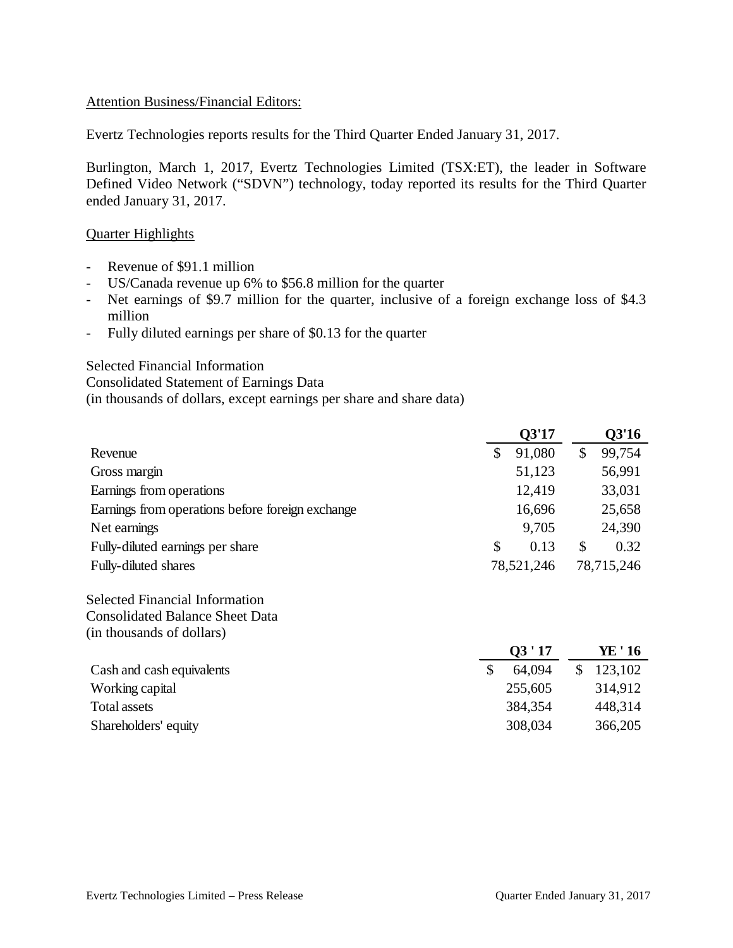#### Attention Business/Financial Editors:

Evertz Technologies reports results for the Third Quarter Ended January 31, 2017.

Burlington, March 1, 2017, Evertz Technologies Limited (TSX:ET), the leader in Software Defined Video Network ("SDVN") technology, today reported its results for the Third Quarter ended January 31, 2017.

#### Quarter Highlights

- Revenue of \$91.1 million
- US/Canada revenue up 6% to \$56.8 million for the quarter
- Net earnings of \$9.7 million for the quarter, inclusive of a foreign exchange loss of \$4.3 million
- Fully diluted earnings per share of \$0.13 for the quarter

Selected Financial Information

Consolidated Statement of Earnings Data

(in thousands of dollars, except earnings per share and share data)

|                                                  | Q3'17        | Q3'16        |
|--------------------------------------------------|--------------|--------------|
| Revenue                                          | \$<br>91,080 | \$<br>99,754 |
| Gross margin                                     | 51,123       | 56,991       |
| Earnings from operations                         | 12,419       | 33,031       |
| Earnings from operations before foreign exchange | 16,696       | 25,658       |
| Net earnings                                     | 9,705        | 24,390       |
| Fully-diluted earnings per share                 | \$<br>0.13   | \$<br>0.32   |
| Fully-diluted shares                             | 78,521,246   | 78,715,246   |

Selected Financial Information Consolidated Balance Sheet Data (in thousands of dollars)

|                           | 03'17   | YE ' 16 |
|---------------------------|---------|---------|
| Cash and cash equivalents | 64.094  | 123,102 |
| Working capital           | 255,605 | 314,912 |
| Total assets              | 384,354 | 448,314 |
| Shareholders' equity      | 308,034 | 366,205 |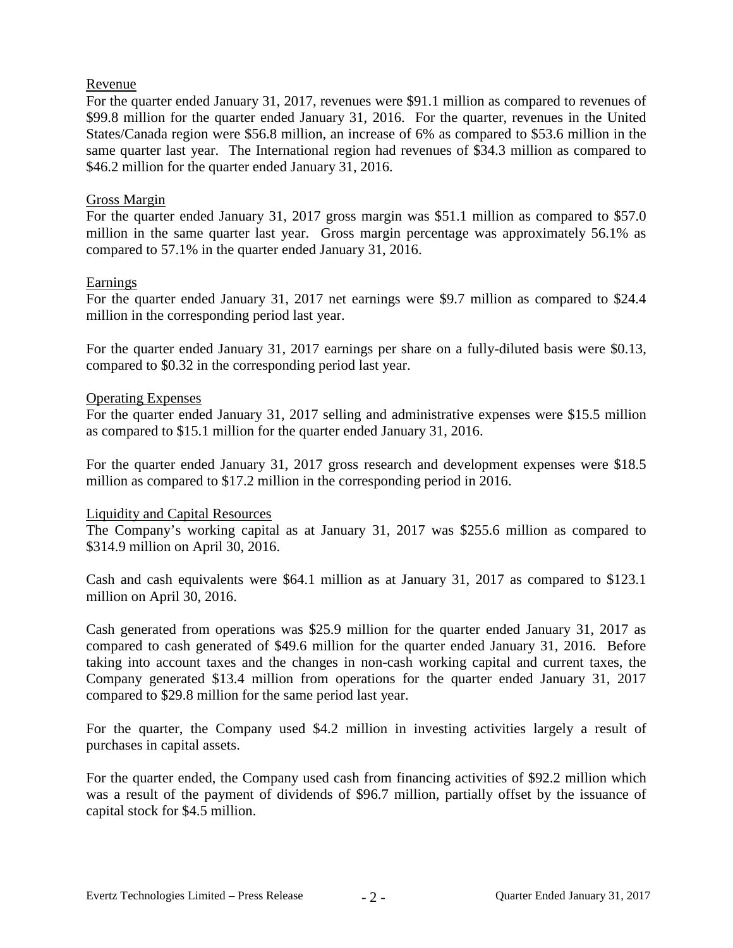## Revenue

For the quarter ended January 31, 2017, revenues were \$91.1 million as compared to revenues of \$99.8 million for the quarter ended January 31, 2016. For the quarter, revenues in the United States/Canada region were \$56.8 million, an increase of 6% as compared to \$53.6 million in the same quarter last year. The International region had revenues of \$34.3 million as compared to \$46.2 million for the quarter ended January 31, 2016.

## Gross Margin

For the quarter ended January 31, 2017 gross margin was \$51.1 million as compared to \$57.0 million in the same quarter last year. Gross margin percentage was approximately 56.1% as compared to 57.1% in the quarter ended January 31, 2016.

## Earnings

For the quarter ended January 31, 2017 net earnings were \$9.7 million as compared to \$24.4 million in the corresponding period last year.

For the quarter ended January 31, 2017 earnings per share on a fully-diluted basis were \$0.13, compared to \$0.32 in the corresponding period last year.

## Operating Expenses

For the quarter ended January 31, 2017 selling and administrative expenses were \$15.5 million as compared to \$15.1 million for the quarter ended January 31, 2016.

For the quarter ended January 31, 2017 gross research and development expenses were \$18.5 million as compared to \$17.2 million in the corresponding period in 2016.

#### Liquidity and Capital Resources

The Company's working capital as at January 31, 2017 was \$255.6 million as compared to \$314.9 million on April 30, 2016.

Cash and cash equivalents were \$64.1 million as at January 31, 2017 as compared to \$123.1 million on April 30, 2016.

Cash generated from operations was \$25.9 million for the quarter ended January 31, 2017 as compared to cash generated of \$49.6 million for the quarter ended January 31, 2016. Before taking into account taxes and the changes in non-cash working capital and current taxes, the Company generated \$13.4 million from operations for the quarter ended January 31, 2017 compared to \$29.8 million for the same period last year.

For the quarter, the Company used \$4.2 million in investing activities largely a result of purchases in capital assets.

For the quarter ended, the Company used cash from financing activities of \$92.2 million which was a result of the payment of dividends of \$96.7 million, partially offset by the issuance of capital stock for \$4.5 million.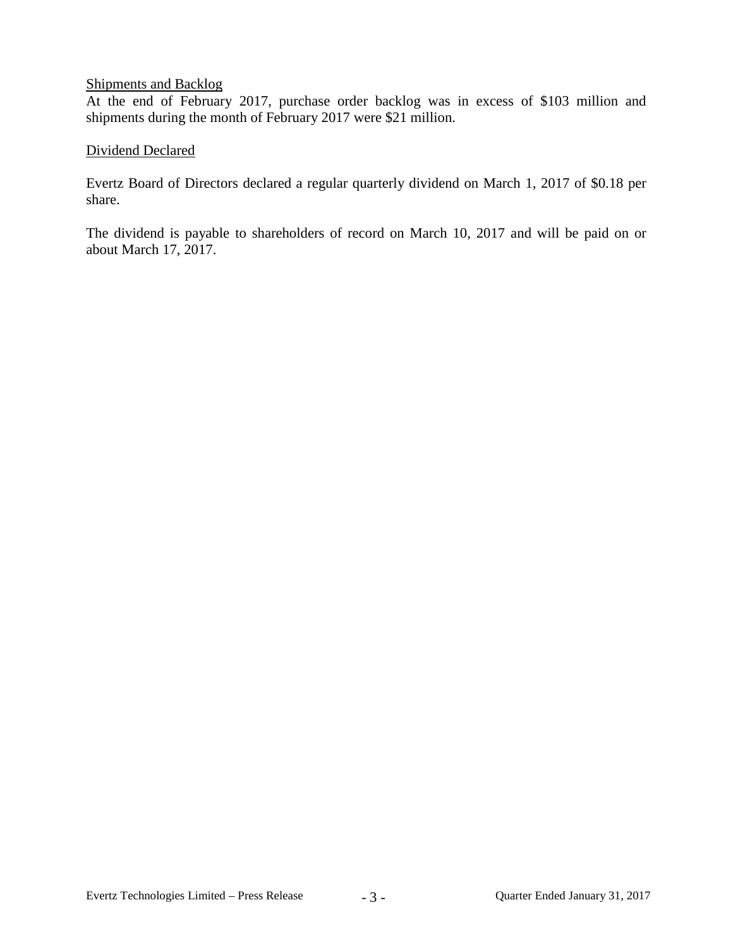## Shipments and Backlog

At the end of February 2017, purchase order backlog was in excess of \$103 million and shipments during the month of February 2017 were \$21 million.

## Dividend Declared

Evertz Board of Directors declared a regular quarterly dividend on March 1, 2017 of \$0.18 per share.

The dividend is payable to shareholders of record on March 10, 2017 and will be paid on or about March 17, 2017.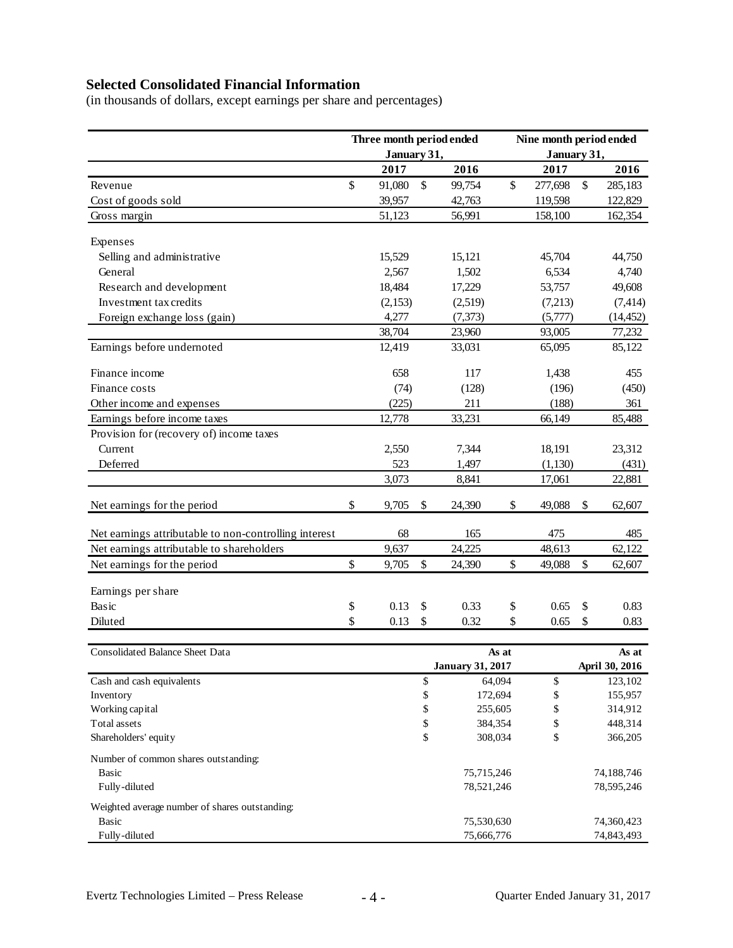# **Selected Consolidated Financial Information**

(in thousands of dollars, except earnings per share and percentages)

|                                                       | Three month period ended |             |                           | Nine month period ended |             |                |    |                |  |
|-------------------------------------------------------|--------------------------|-------------|---------------------------|-------------------------|-------------|----------------|----|----------------|--|
|                                                       |                          | January 31, |                           |                         | January 31, |                |    |                |  |
|                                                       |                          | 2017        |                           | 2016                    |             | 2017           |    | 2016           |  |
| Revenue                                               | \$                       | 91,080      | $\boldsymbol{\mathsf{S}}$ | 99,754                  | \$          | 277,698        | \$ | 285,183        |  |
| Cost of goods sold                                    |                          | 39,957      |                           | 42,763                  |             | 119,598        |    | 122,829        |  |
| Gross margin                                          |                          | 51,123      |                           | 56,991                  |             | 158,100        |    | 162,354        |  |
| Expenses                                              |                          |             |                           |                         |             |                |    |                |  |
| Selling and administrative                            |                          | 15,529      |                           | 15,121                  |             | 45,704         |    | 44,750         |  |
| General                                               |                          | 2,567       |                           | 1,502                   |             | 6,534          |    | 4,740          |  |
| Research and development                              |                          | 18,484      |                           | 17,229                  |             | 53,757         |    | 49,608         |  |
| Investment tax credits                                |                          | (2,153)     |                           | (2,519)                 |             | (7,213)        |    | (7, 414)       |  |
| Foreign exchange loss (gain)                          |                          | 4,277       |                           | (7, 373)                |             | (5,777)        |    | (14, 452)      |  |
|                                                       |                          | 38,704      |                           | 23,960                  |             | 93,005         |    | 77,232         |  |
| Earnings before undernoted                            |                          | 12,419      |                           | 33,031                  |             | 65,095         |    | 85,122         |  |
| Finance income                                        |                          | 658         |                           | 117                     |             | 1,438          |    | 455            |  |
| Finance costs                                         |                          | (74)        |                           | (128)                   |             | (196)          |    | (450)          |  |
| Other income and expenses                             |                          | (225)       |                           | 211                     |             | (188)          |    | 361            |  |
| Earnings before income taxes                          |                          | 12,778      |                           | 33,231                  |             | 66,149         |    | 85,488         |  |
| Provision for (recovery of) income taxes              |                          |             |                           |                         |             |                |    |                |  |
| Current                                               |                          | 2,550       |                           | 7,344                   |             | 18,191         |    | 23,312         |  |
| Deferred                                              |                          | 523         |                           | 1,497                   |             | (1,130)        |    | (431)          |  |
|                                                       |                          | 3,073       |                           | 8,841                   |             | 17,061         |    | 22,881         |  |
|                                                       |                          |             |                           |                         |             |                |    |                |  |
| Net earnings for the period                           | \$                       | 9,705       | \$                        | 24,390                  | \$          | 49,088         | \$ | 62,607         |  |
| Net earnings attributable to non-controlling interest |                          | 68          |                           | 165                     |             | 475            |    | 485            |  |
| Net earnings attributable to shareholders             |                          | 9,637       |                           | 24,225                  |             | 48,613         |    | 62,122         |  |
| Net earnings for the period                           | \$                       | 9,705       | $\mathbb{S}$              | 24,390                  | \$          | 49,088         | \$ | 62,607         |  |
| Earnings per share                                    |                          |             |                           |                         |             |                |    |                |  |
| <b>Basic</b>                                          | \$                       | 0.13        | \$                        | 0.33                    | \$          | 0.65           | \$ | 0.83           |  |
| Diluted                                               | \$                       | 0.13        | \$                        | 0.32                    | \$          | 0.65           | \$ | 0.83           |  |
|                                                       |                          |             |                           |                         |             |                |    |                |  |
| <b>Consolidated Balance Sheet Data</b>                |                          |             |                           |                         |             | As at<br>As at |    |                |  |
|                                                       |                          |             |                           | <b>January 31, 2017</b> |             |                |    | April 30, 2016 |  |
| Cash and cash equivalents                             |                          |             | \$                        | 64,094                  |             | \$             |    | 123,102        |  |
| Inventory                                             |                          |             | \$                        | 172,694                 |             | \$             |    | 155,957        |  |
| Working capital                                       |                          |             | \$                        | 255,605                 |             | \$             |    | 314,912        |  |
| Total assets                                          |                          |             | \$                        | 384,354                 | \$          |                |    | 448,314        |  |
| Shareholders' equity                                  |                          |             | \$                        | 308,034                 |             | \$             |    | 366,205        |  |
| Number of common shares outstanding:                  |                          |             |                           |                         |             |                |    |                |  |
| Basic                                                 |                          |             |                           | 75,715,246              |             |                |    | 74,188,746     |  |
| Fully-diluted                                         |                          |             |                           | 78,521,246              |             |                |    | 78,595,246     |  |
| Weighted average number of shares outstanding:        |                          |             |                           |                         |             |                |    |                |  |
| <b>Basic</b>                                          |                          |             |                           | 75,530,630              |             |                |    | 74,360,423     |  |
| Fully-diluted                                         |                          |             |                           | 75,666,776              |             |                |    | 74,843,493     |  |